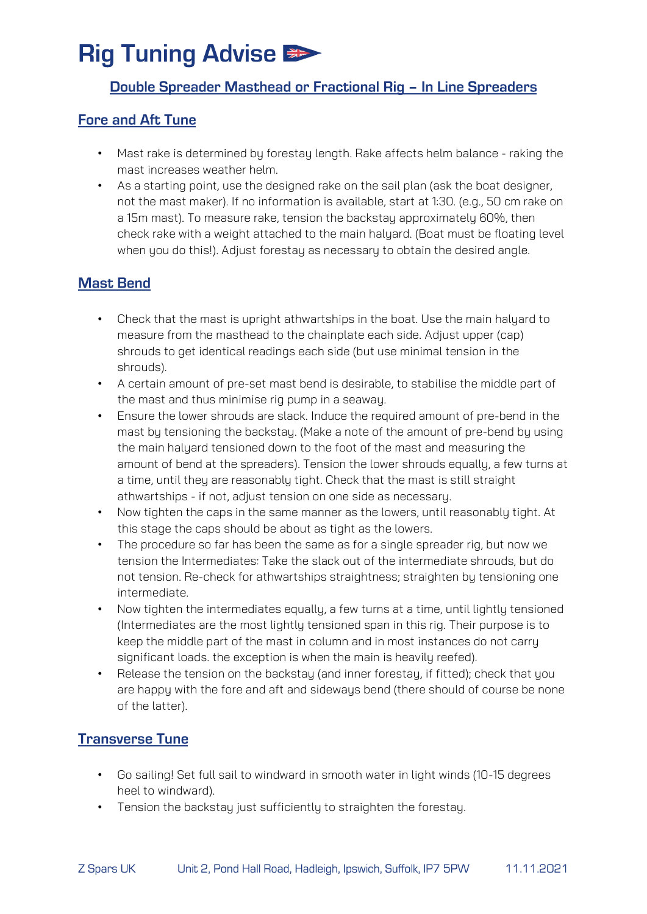## **Rig Tuning Advise #>**

#### Double Spreader Masthead or Fractional Rig - In Line Spreaders

#### **Fore and Aft Tune**

- Mast rake is determined by forestay length. Rake affects helm balance raking the mast increases weather helm.
- As a starting point, use the designed rake on the sail plan (ask the boat designer, not the mast maker). If no information is available, start at 1:30. (e.g., 50 cm rake on a 15m mast). To measure rake, tension the backstay approximately 60%, then check rake with a weight attached to the main halyard. (Boat must be floating level when you do this!). Adjust forestay as necessary to obtain the desired angle.

### **Mast Bend**

- Check that the mast is upright athwartships in the boat. Use the main halyard to measure from the masthead to the chainplate each side. Adjust upper (cap) shrouds to get identical readings each side (but use minimal tension in the shrouds).
- A certain amount of pre-set mast bend is desirable, to stabilise the middle part of the mast and thus minimise rig pump in a seaway.
- Ensure the lower shrouds are slack. Induce the required amount of pre-bend in the mast by tensioning the backstay. (Make a note of the amount of pre-bend by using the main halyard tensioned down to the foot of the mast and measuring the amount of bend at the spreaders). Tension the lower shrouds equally, a few turns at a time, until they are reasonably tight. Check that the mast is still straight athwartships - if not, adjust tension on one side as necessary.
- Now tighten the caps in the same manner as the lowers, until reasonably tight. At this stage the caps should be about as tight as the lowers.
- The procedure so far has been the same as for a single spreader rig, but now we tension the Intermediates: Take the slack out of the intermediate shrouds, but do not tension. Re-check for athwartships straightness; straighten by tensioning one intermediate.
- Now tighten the intermediates equally, a few turns at a time, until lightly tensioned (Intermediates are the most lightly tensioned span in this rig. Their purpose is to keep the middle part of the mast in column and in most instances do not carry significant loads. the exception is when the main is heavily reefed).
- Release the tension on the backstay (and inner forestay, if fitted); check that you are happy with the fore and aft and sideways bend (there should of course be none of the latter).

### **Transverse Tune**

- Go sailing! Set full sail to windward in smooth water in light winds (10-15 degrees heel to windward).
- Tension the backstay just sufficiently to straighten the forestay.